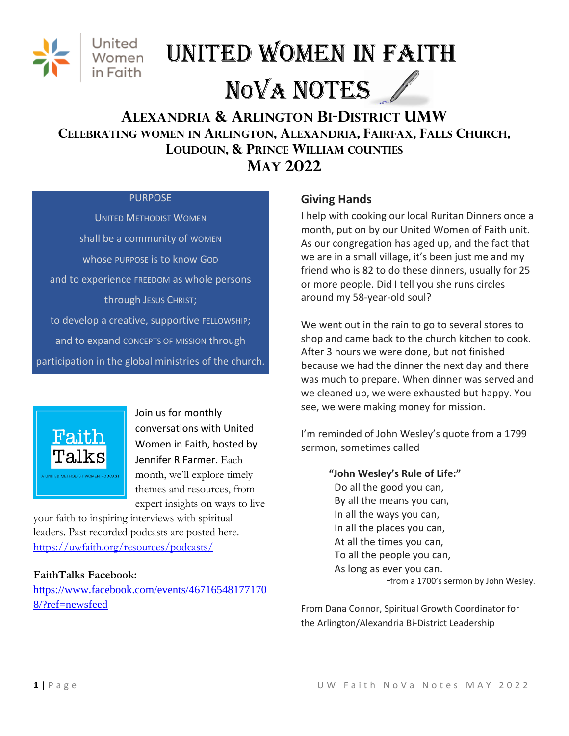

# United Women in Faith NOVA NOTES

# **ALEXANDRIA & ARLINGTON BI-DISTRICT UMW CELEBRATING WOMEN IN ARLINGTON, ALEXANDRIA, FAIRFAX, FALLS CHURCH, LOUDOUN, & PRINCE WILLIAM COUNTIES MAY 2022**

#### **PURPOSE**

UNITED METHODIST WOMEN shall be a community of WOMEN whose PURPOSE is to know GOD and to experience FREEDOM as whole persons through JESUS CHRIST; to develop a creative, supportive FELLOWSHIP; and to expand CONCEPTS OF MISSION through participation in the global ministries of the church.



Join us for monthly conversations with United Women in Faith, hosted by Jennifer R Farmer. Each month, we'll explore timely themes and resources, from expert insights on ways to live

your faith to inspiring interviews with spiritual leaders. Past recorded podcasts are posted here. <https://uwfaith.org/resources/podcasts/>

## **FaithTalks Facebook:**

[https://www.facebook.com/events/46716548177170](https://www.facebook.com/events/467165481771708/?ref=newsfeed) [8/?ref=newsfeed](https://www.facebook.com/events/467165481771708/?ref=newsfeed)

## **Giving Hands**

I help with cooking our local Ruritan Dinners once a month, put on by our United Women of Faith unit. As our congregation has aged up, and the fact that we are in a small village, it's been just me and my friend who is 82 to do these dinners, usually for 25 or more people. Did I tell you she runs circles around my 58-year-old soul?

We went out in the rain to go to several stores to shop and came back to the church kitchen to cook. After 3 hours we were done, but not finished because we had the dinner the next day and there was much to prepare. When dinner was served and we cleaned up, we were exhausted but happy. You see, we were making money for mission.

I'm reminded of John Wesley's quote from a 1799 sermon, sometimes called

> **"John Wesley's Rule of Life:"** Do all the good you can, By all the means you can, In all the ways you can, In all the places you can, At all the times you can, To all the people you can, As long as ever you can. *~*from a 1700's sermon by John Wesley.

From Dana Connor, Spiritual Growth Coordinator for the Arlington/Alexandria Bi-District Leadership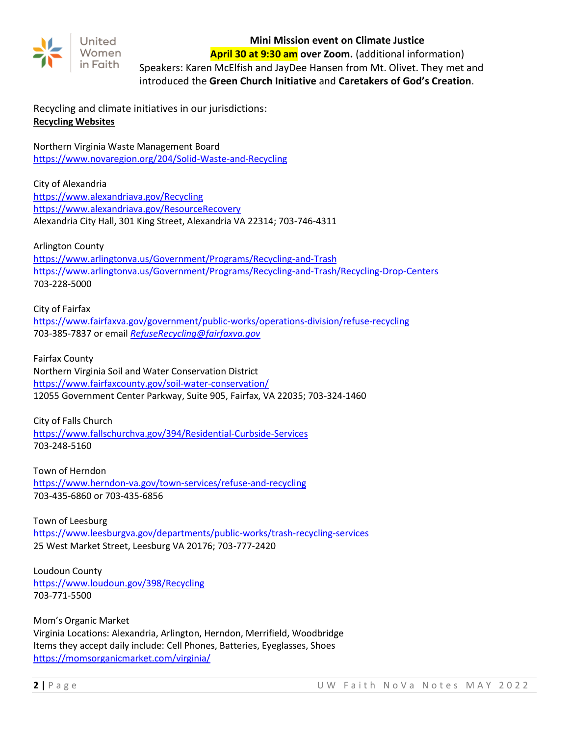

#### **Mini Mission event on Climate Justice**

**April 30 at 9:30 am over Zoom.** (additional information)

Speakers: Karen McElfish and JayDee Hansen from Mt. Olivet. They met and introduced the **Green Church Initiative** and **Caretakers of God's Creation**.

Recycling and climate initiatives in our jurisdictions: **Recycling Websites**

Northern Virginia Waste Management Board <https://www.novaregion.org/204/Solid-Waste-and-Recycling>

City of Alexandria <https://www.alexandriava.gov/Recycling> <https://www.alexandriava.gov/ResourceRecovery> Alexandria City Hall, 301 King Street, Alexandria VA 22314; 703-746-4311

Arlington County

<https://www.arlingtonva.us/Government/Programs/Recycling-and-Trash> <https://www.arlingtonva.us/Government/Programs/Recycling-and-Trash/Recycling-Drop-Centers> 703-228-5000

City of Fairfax <https://www.fairfaxva.gov/government/public-works/operations-division/refuse-recycling> 703-385-7837 or email *[RefuseRecycling@fairfaxva.gov](mailto:RefuseRecycling@fairfaxva.gov)*

Fairfax County Northern Virginia Soil and Water Conservation District <https://www.fairfaxcounty.gov/soil-water-conservation/> 12055 Government Center Parkway, Suite 905, Fairfax, VA 22035; 703-324-1460

City of Falls Church <https://www.fallschurchva.gov/394/Residential-Curbside-Services> 703-248-5160

Town of Herndon <https://www.herndon-va.gov/town-services/refuse-and-recycling> 703-435-6860 or 703-435-6856

Town of Leesburg <https://www.leesburgva.gov/departments/public-works/trash-recycling-services> 25 West Market Street, Leesburg VA 20176; 703-777-2420

Loudoun County <https://www.loudoun.gov/398/Recycling> 703-771-5500

Mom's Organic Market Virginia Locations: Alexandria, Arlington, Herndon, Merrifield, Woodbridge Items they accept daily include: Cell Phones, Batteries, Eyeglasses, Shoes <https://momsorganicmarket.com/virginia/>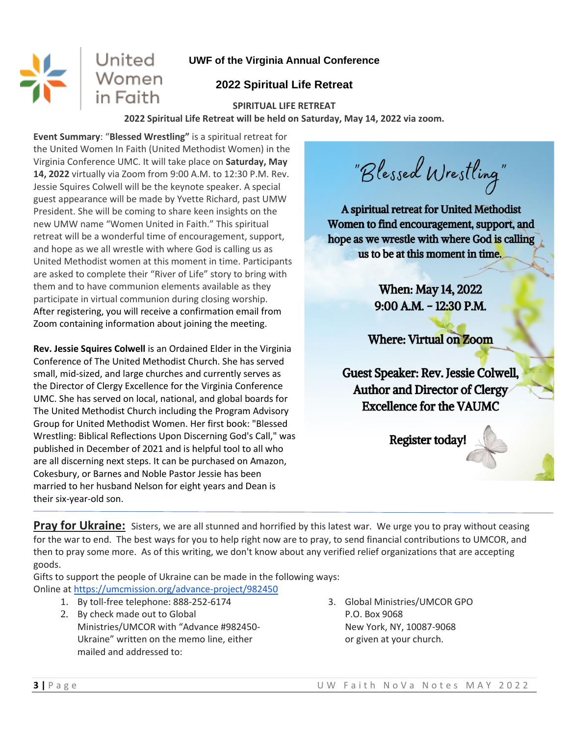# **UWF of the Virginia Annual Conference**

# **2022 Spiritual Life Retreat**

#### **SPIRITUAL LIFE RETREAT**

**2022 Spiritual Life Retreat will be held on Saturday, May 14, 2022 via zoom.**

**Event Summary**: "**Blessed Wrestling"** is a spiritual retreat for the United Women In Faith (United Methodist Women) in the Virginia Conference UMC. It will take place on **Saturday, May 14, 2022** virtually via Zoom from 9:00 A.M. to 12:30 P.M. Rev. Jessie Squires Colwell will be the keynote speaker. A special guest appearance will be made by Yvette Richard, past UMW President. She will be coming to share keen insights on the new UMW name "Women United in Faith." This spiritual retreat will be a wonderful time of encouragement, support, and hope as we all wrestle with where God is calling us as United Methodist women at this moment in time. Participants are asked to complete their "River of Life" story to bring with them and to have communion elements available as they participate in virtual communion during closing worship. After registering, you will receive a confirmation email from Zoom containing information about joining the meeting.

United

Women<br>in Faith

**Rev. Jessie Squires Colwell** is an Ordained Elder in the Virginia Conference of The United Methodist Church. She has served small, mid-sized, and large churches and currently serves as the Director of Clergy Excellence for the Virginia Conference UMC. She has served on local, national, and global boards for The United Methodist Church including the Program Advisory Group for United Methodist Women. Her first book: "Blessed Wrestling: Biblical Reflections Upon Discerning God's Call," was published in December of 2021 and is helpful tool to all who are all discerning next steps. It can be purchased on Amazon, Cokesbury, or Barnes and Noble Pastor Jessie has been married to her husband Nelson for eight years and Dean is their six-year-old son.

"Blessed Wrestling"

A spiritual retreat for United Methodist Women to find encouragement, support, and hope as we wrestle with where God is calling us to be at this moment in time.

> **When: May 14, 2022**  $9:00$  A.M. - 12:30 P.M.

**Where: Virtual on Zoom** 

Guest Speaker: Rev. Jessie Colwell, **Author and Director of Clergy Excellence for the VAUMC** 

**Register today** 

**Pray for Ukraine:** Sisters, we are all stunned and horrified by this latest war. We urge you to pray without ceasing for the war to end. The best ways for you to help right now are to pray, to send financial contributions to UMCOR, and then to pray some more. As of this writing, we don't know about any verified relief organizations that are accepting goods.

Gifts to support the people of Ukraine can be made in the following ways: Online at <https://umcmission.org/advance-project/982450>

- 1. By toll-free telephone: 888-252-6174
- 2. By check made out to Global Ministries/UMCOR with "Advance #982450- Ukraine" written on the memo line, either mailed and addressed to:
- 3. Global Ministries/UMCOR GPO P.O. Box 9068 New York, NY, 10087-9068 or given at your church.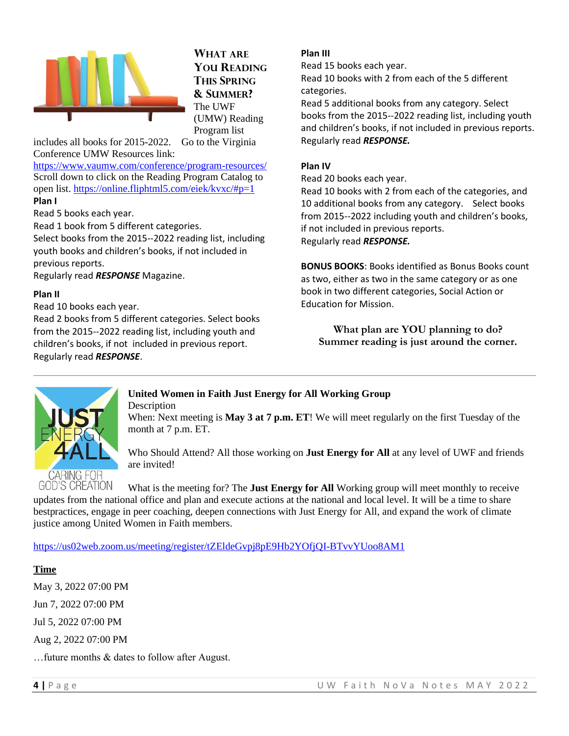

**WHAT ARE YOU READING THIS SPRING & SUMMER?** The UWF (UMW) Reading Program list

includes all books for 2015-2022. Go to the Virginia Conference UMW Resources link:

<https://www.vaumw.com/conference/program-resources/> Scroll down to click on the Reading Program Catalog to open list.<https://online.fliphtml5.com/eiek/kvxc/#p=1> **Plan I** 

Read 5 books each year.

Read 1 book from 5 different categories.

Select books from the 2015-‐2022 reading list, including youth books and children's books, if not included in previous reports.

Regularly read *RESPONSE* Magazine.

#### **Plan II**

Read 10 books each year.

Read 2 books from 5 different categories. Select books from the 2015--2022 reading list, including youth and children's books, if not included in previous report. Regularly read *RESPONSE*.

#### **Plan III**

Read 15 books each year.

Read 10 books with 2 from each of the 5 different categories.

Read 5 additional books from any category. Select books from the 2015-‐2022 reading list, including youth and children's books, if not included in previous reports. Regularly read *RESPONSE.*

#### **Plan IV**

Read 20 books each year.

Read 10 books with 2 from each of the categories, and 10 additional books from any category. Select books from 2015-‐2022 including youth and children's books, if not included in previous reports. Regularly read *RESPONSE.*

**BONUS BOOKS**: Books identified as Bonus Books count as two, either as two in the same category or as one book in two different categories, Social Action or Education for Mission.

**What plan are YOU planning to do? Summer reading is just around the corner.**



#### **United Women in Faith Just Energy for All Working Group Description**

When: Next meeting is **May 3 at 7 p.m. ET**! We will meet regularly on the first Tuesday of the month at 7 p.m. ET.

Who Should Attend? All those working on **Just Energy for All** at any level of UWF and friends are invited!

What is the meeting for? The **Just Energy for All** Working group will meet monthly to receive updates from the national office and plan and execute actions at the national and local level. It will be a time to share bestpractices, engage in peer coaching, deepen connections with Just Energy for All, and expand the work of climate justice among United Women in Faith members.

<https://us02web.zoom.us/meeting/register/tZEldeGvpj8pE9Hb2YOfjQI-BTvvYUoo8AM1>

**Time** 

May 3, 2022 07:00 PM Jun 7, 2022 07:00 PM Jul 5, 2022 07:00 PM Aug 2, 2022 07:00 PM

…future months & dates to follow after August.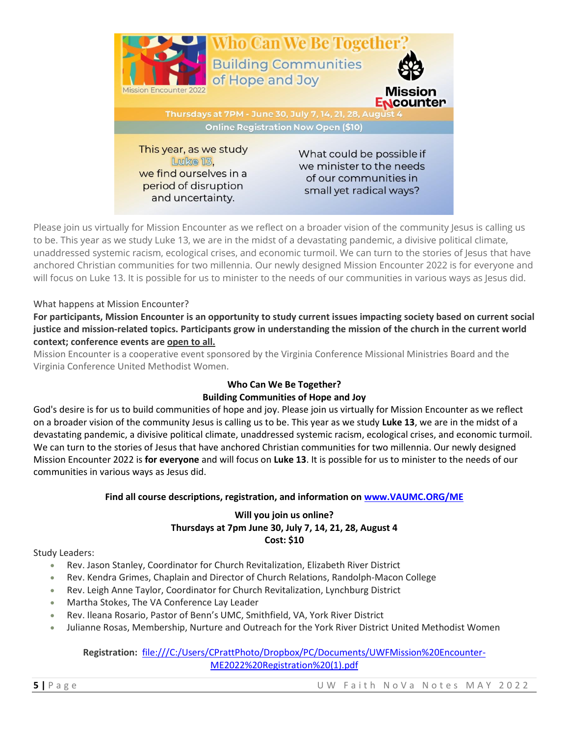

Please join us virtually for Mission Encounter as we reflect on a broader vision of the community Jesus is calling us to be. This year as we study Luke 13, we are in the midst of a devastating pandemic, a divisive political climate, unaddressed systemic racism, ecological crises, and economic turmoil. We can turn to the stories of Jesus that have anchored Christian communities for two millennia. Our newly designed Mission Encounter 2022 is for everyone and will focus on Luke 13. It is possible for us to minister to the needs of our communities in various ways as Jesus did.

#### What happens at Mission Encounter?

For participants, Mission Encounter is an opportunity to study current issues impacting society based on current social justice and mission-related topics. Participants grow in understanding the mission of the church in the current world **context; conference events are open to all.**

Mission Encounter is a cooperative event sponsored by the Virginia Conference Missional Ministries Board and the Virginia Conference United Methodist Women.

#### **Who Can We Be Together? Building Communities of Hope and Joy**

God's desire is for us to build communities of hope and joy. Please join us virtually for Mission Encounter as we reflect on a broader vision of the community Jesus is calling us to be. This year as we study **Luke 13**, we are in the midst of a devastating pandemic, a divisive political climate, unaddressed systemic racism, ecological crises, and economic turmoil. We can turn to the stories of Jesus that have anchored Christian communities for two millennia. Our newly designed Mission Encounter 2022 is **for everyone** and will focus on **Luke 13**. It is possible for us to minister to the needs of our communities in various ways as Jesus did.

#### **Find all course descriptions, registration, and information on [www.VAUMC.ORG/ME](http://www.vaumc.org/ME)**

#### **Will you join us online? Thursdays at 7pm June 30, July 7, 14, 21, 28, August 4 Cost: \$10**

Study Leaders:

- Rev. Jason Stanley, Coordinator for Church Revitalization, Elizabeth River District
- Rev. Kendra Grimes, Chaplain and Director of Church Relations, Randolph-Macon College
- Rev. Leigh Anne Taylor, Coordinator for Church Revitalization, Lynchburg District
- Martha Stokes, The VA Conference Lay Leader
- Rev. Ileana Rosario, Pastor of Benn's UMC, Smithfield, VA, York River District
- Julianne Rosas, Membership, Nurture and Outreach for the York River District United Methodist Women

**Registration:** [file:///C:/Users/CPrattPhoto/Dropbox/PC/Documents/UWFMission%20Encounter-](file:///C:/Users/CPrattPhoto/Dropbox/PC/Documents/UWFMission%20Encounter-ME2022%20Registration%20(1).pdf)[ME2022%20Registration%20\(1\).pdf](file:///C:/Users/CPrattPhoto/Dropbox/PC/Documents/UWFMission%20Encounter-ME2022%20Registration%20(1).pdf)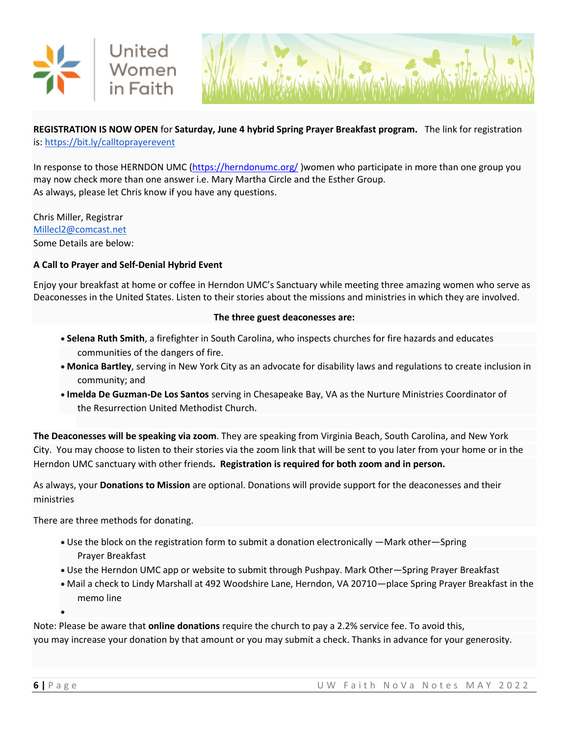



#### **REGISTRATION IS NOW OPEN** for **Saturday, June 4 hybrid Spring Prayer Breakfast program.** The link for registration is: <https://bit.ly/calltoprayerevent>

In response to those HERNDON UMC [\(https://herndonumc.org/](https://herndonumc.org/)) women who participate in more than one group you may now check more than one answer i.e. Mary Martha Circle and the Esther Group. As always, please let Chris know if you have any questions.

Chris Miller, Registrar [Millecl2@comcast.net](mailto:Millecl2@comcast.net) Some Details are below:

#### **A Call to Prayer and Self-Denial Hybrid Event**

Enjoy your breakfast at home or coffee in Herndon UMC's Sanctuary while meeting three amazing women who serve as Deaconesses in the United States. Listen to their stories about the missions and ministries in which they are involved.

#### **The three guest deaconesses are:**

- **Selena Ruth Smith**, a firefighter in South Carolina, who inspects churches for fire hazards and educates communities of the dangers of fire.
- **Monica Bartley**, serving in New York City as an advocate for disability laws and regulations to create inclusion in community; and
- **Imelda De Guzman-De Los Santos** serving in Chesapeake Bay, VA as the Nurture Ministries Coordinator of the Resurrection United Methodist Church.

**The Deaconesses will be speaking via zoom**. They are speaking from Virginia Beach, South Carolina, and New York City. You may choose to listen to their stories via the zoom link that will be sent to you later from your home or in the Herndon UMC sanctuary with other friends**. Registration is required for both zoom and in person.**

As always, your **Donations to Mission** are optional. Donations will provide support for the deaconesses and their ministries

There are three methods for donating.

- Use the block on the registration form to submit a donation electronically —Mark other—Spring Prayer Breakfast
- Use the Herndon UMC app or website to submit through Pushpay. Mark Other—Spring Prayer Breakfast
- Mail a check to Lindy Marshall at 492 Woodshire Lane, Herndon, VA 20710—place Spring Prayer Breakfast in the memo line
- •

Note: Please be aware that **online donations** require the church to pay a 2.2% service fee. To avoid this, you may increase your donation by that amount or you may submit a check. Thanks in advance for your generosity.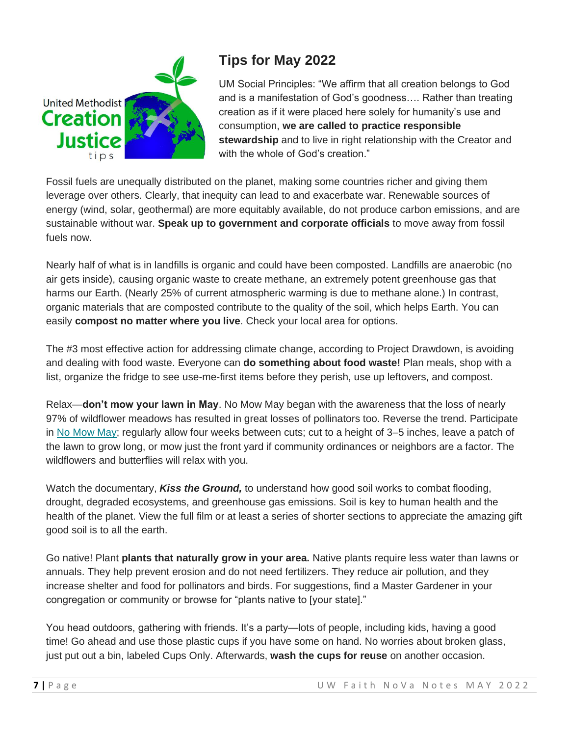

# **Tips for May 2022**

UM Social Principles: "We affirm that all creation belongs to God and is a manifestation of God's goodness…. Rather than treating creation as if it were placed here solely for humanity's use and consumption, **we are called to practice responsible stewardship** and to live in right relationship with the Creator and with the whole of God's creation."

Fossil fuels are unequally distributed on the planet, making some countries richer and giving them leverage over others. Clearly, that inequity can lead to and exacerbate war. Renewable sources of energy (wind, solar, geothermal) are more equitably available, do not produce carbon emissions, and are sustainable without war. **Speak up to government and corporate officials** to move away from fossil fuels now.

Nearly half of what is in landfills is organic and could have been composted. Landfills are anaerobic (no air gets inside), causing organic waste to create methane, an extremely potent greenhouse gas that harms our Earth. (Nearly 25% of current atmospheric warming is due to methane alone.) In contrast, organic materials that are composted contribute to the quality of the soil, which helps Earth. You can easily **compost no matter where you live**. Check your local area for options.

The #3 most effective action for addressing climate change, according to Project Drawdown, is avoiding and dealing with food waste. Everyone can **do something about food waste!** Plan meals, shop with a list, organize the fridge to see use-me-first items before they perish, use up leftovers, and compost.

Relax—**don't mow your lawn in May**. No Mow May began with the awareness that the loss of nearly 97% of wildflower meadows has resulted in great losses of pollinators too. Reverse the trend. Participate in [No Mow May;](https://gmail.us4.list-manage.com/track/click?u=e01fe6f2d3fb98b7ae10252ad&id=56a3a14720&e=8680f8a178) regularly allow four weeks between cuts; cut to a height of 3–5 inches, leave a patch of the lawn to grow long, or mow just the front yard if community ordinances or neighbors are a factor. The wildflowers and butterflies will relax with you.

Watch the documentary, *Kiss the Ground,* to understand how good soil works to combat flooding, drought, degraded ecosystems, and greenhouse gas emissions. Soil is key to human health and the health of the planet. View the full film or at least a series of shorter sections to appreciate the amazing gift good soil is to all the earth.

Go native! Plant **plants that naturally grow in your area.** Native plants require less water than lawns or annuals. They help prevent erosion and do not need fertilizers. They reduce air pollution, and they increase shelter and food for pollinators and birds. For suggestions, find a Master Gardener in your congregation or community or browse for "plants native to [your state]."

You head outdoors, gathering with friends. It's a party—lots of people, including kids, having a good time! Go ahead and use those plastic cups if you have some on hand. No worries about broken glass, just put out a bin, labeled Cups Only. Afterwards, **wash the cups for reuse** on another occasion.